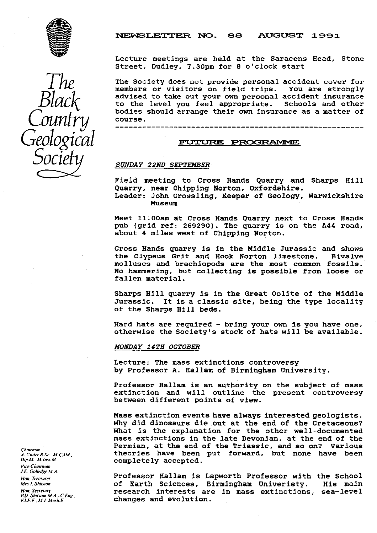

NEWSLETTER NO. 88 AUGUST 1991

Lecture meetings are held at the Saracens Head, Stone Street, Dudley, 7.30pm for 8 o'clock start

The Society does not provide personal accident cover for members or visitors on field trips. You are strongly advised to take out your **own** personal accident insurance to the level you feel appropriate. Schools and other bodies should arrange their own insurance as a matter of course.

## **FUTURE PROGRAMME**

## *SUNDAY 22ND SEPTEMBER*

**Field meeting to** Cross Hands Quarry and Sharps Hill Quarry, near Chipping Norton, Oxfordshire.

Leader: John Crossling, Keeper of Geology, Warwickshire Museum

Meet 11.00am at Cross Hands Quarry next to Cross Hands pub (grid ref: 269290). The quarry is on the A44 road, about 4 miles west of Chipping Norton.

Cross Hands quarry is in the Middle Jurassic and shows the Clypeus Grit and Hook Norton limestone. Bivalve molluscs and brachiopods are the most common fossils. No hammering, but collecting is possible from loose or fallen material.

Sharps Hill quarry is in the Great Oolite of the Middle Jurassic. It is a classic site, being the type locality of the Sharps Hill beds.

Hard hats are required - bring your own is you have one, otherwise the Society's stock of hats **will be available.**

## *MONDAY 14TH OCTOBER*

Lecture: The mass extinctions controversy by Professor **A.** Hallam of Birmingham University.

Professor Hallam is an authority on the subject of mass extinction and will outline the present controversy between different points of view.

Mass extinction events have always interested geologists. Why did dinosaurs die out at the end of the Cretaceous? What is the explanation for the other well-documented mass extinctions in the late Devonian, at the end of the Permian, at the end of the Triassic, and so on? Various theories have been put forward, but none have been completely accepted.

Professor Hallam is Lapworth Professor with the School of Earth Sciences, Birmingham Univeristy. His main research interests are in mass extinctions, sea-level changes and evolution.

*The Black Country Geological Socze*

*Chairman A. Curler* a *Sr.. M.CAM . Dip.M.. M.Insr.M. [ V ice Chairman J.E. Gulledge M. d. Hon. Treasurer Mrs J. Shilsion Hop. Secrciorj. P.D. Shilsion M.A.: C.Eng., F.LE.E, Af.l. MerhE.*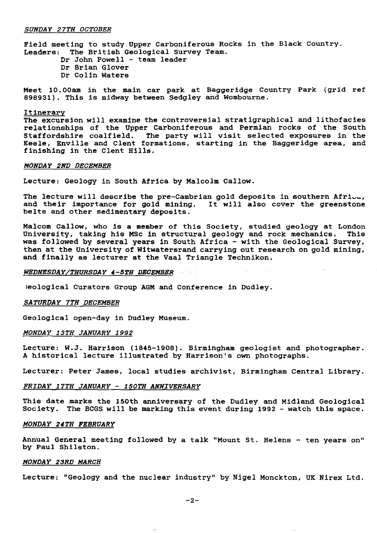#### SUNDAY 27TH OCTOBER

Field meeting to study Upper Carboniferous Rocks in the Black Country. Leaders: The British Geological Survey Team.

Dr John Powell - team leader Dr Brian Glover Dr Colin Waters

Meet 10.00am in the main car park at Baggeridge Country Park (grid ref 898931). This is midway between Sedgley and Wombourne.

#### Itinerary

The excursion will examine the controversial stratigraphical and lithofacies relationships of the Upper Carboniferous and Permian rocks of the South Staffordshire coalfield. The party will visit selected exposures in the Keele, Enville and Clent formations, starting in the Baggeridge area, and finishing in the Clent Hills.

#### MONDAY 2ND DECEMBER

Lecture: Geology in South Africa by Malcolm Callow.

The lecture will describe the pre-Cambrian gold deposits in southern Afri $\ldots$ , and their importance for gold mining. It will also cover the greenstone belts and other sedimentary deposits.

Malcom Callow, who is a member of this Society, studied geology at London University, taking his MSc in structural geology and rock mechanics. This was followed by several years in South Africa - with the Geological Survey, then at the University of Witwatersrand carrying out research on gold mining, and finally as lecturer at the Vaal Triangle Technikon.

#### *WEDNESDAY/THURSDAY 4-5TH DECEMBER*

;eological Curators Group AGM and Conference in Dudley.

## SATURDAY 7TH DECEMBER

Geological open-day in Dudley Museum.

## *MONDAY 13TH JANUARY 1992*

Lecture: W.J. Harrison (1845-1908). Birmingham geologist and photographer. A historical lecture illustrated by Harrison's own photographs.

Lecturer: Peter James, local studies archivist, Birmingham Central Library.

## *FRIDAY 17TH JANUARY - 150TH ANNIVERSARY*

This date marks the 150th anniversary of the Dudley and Midland Geological Society. The BCGS will be marking this event during 1992 - watch this space.

#### *MONDAY 24TH FEBRUARY*

Annual General meeting followed by a talk "Mount St. Helens - ten years on" by Paul Shilston.

## *MONDAY 23RD MARCH*

Lecture: "Geology and the nuclear industry" by Nigel Monckton, UK Nirex Ltd.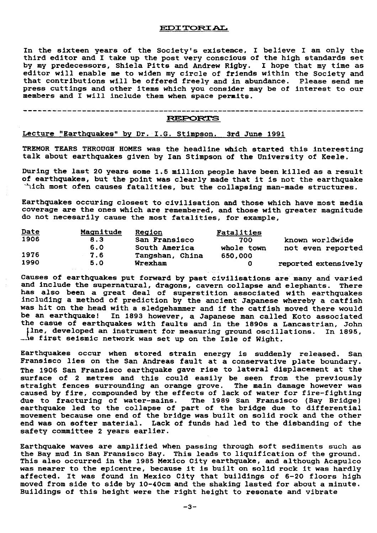## EDITORIAL

In the sixteen years of the Society's existence, I believe I am only the third editor and I take up the post very conscious of the high standards set by my predecessors, Shiela Pitts and Andrew Rigby. I hope that my time as editor will enable me to widen my circle of friends within the Society and that contributions will be offered freely and In abundance. Please send me press cuttings and other items which you consider may be of interest to our members and I will include them when space permits.

## **REPORTS**

----------------------------------

# Lecture "Earthquakes" by Dr. I.G. Stimpson. 3rd June 1991

----------------------------------

TREMOR TEARS THROUGH HOMES was the headline which started this interesting talk about earthquakes given by Ian Stimpson of the University of Keele.

During the last 20 years some 1.5 million people have been killed as a result of earthquakes, but the point was clearly made that it is not the earthquake -hich most ofen causes fatalities, but the collapsing man-made structures.

Earthquakes occuring closest to civilisation and those which have most media coverage are the ones which are remembered, and those with greater magnitude do not necesarily cause the most fatalities, for example,

| <u>Date</u> | Magnitude | Region          | Fatalities |                      |
|-------------|-----------|-----------------|------------|----------------------|
| 1906        | 8.3       | San Fransisco   | 700        | known worldwide      |
|             | 6.0       | South America   | whole town | not even reported    |
| 1976        | 7.6       | Tangshan, China | 650.000    |                      |
| 1990        | 5.0       | Wrexham         |            | reported extensively |

Causes of earthquakes put forward by past civilisations are many and varied and Include the supernatural, dragons, cavern collapse and elephants. There has also been a great deal of superstition associated with earthquakes including a method of prediction by the ancient Japanese whereby a catfish was hit on the head with a sledgehammer and if the catfish moved there would be an earthquake! In 1893 however, a Japanese man called Koto associated the casue of earthquakes with faults and in the 1890s a Lancastrian, John ilne, developed an instrument for measuring ground oscillations. In 1895, the first seismic network was set up on the Isle of Wight.

Earthquakes occur when stored strain energy is suddenly released. San Fransisco lies on the San Andreas fault at a conservative plate boundary. The 1906 San Fransisco earthquake gave rise to lateral displacement at the surface of 2 metres and this could easily be seen from the previously straight fences surrounding an orange grove. The main damage however was caused by fire, compounded by the effects of lack of water for fire-fighting due to fracturing of water-mains. The 1989 San Fransisco (Bay Bridge) earthquake led to the collapse of part of the bridge due to differential movement because one end of the bridge was built on solid rock and the other end was on softer material. Lack of funds had led to the disbanding of the safety committee 2 years earlier.

Earthquake waves are amplified when passing through soft sediments such as the Bay mud in San Fransisco Bay. This leads to liquification of the ground. This also occurred in the 1985 Mexico City earthquake, and although Acapulco was nearer to the epicentre, because it is built on solid rock it was hardly affected. It was found in Mexico City that buildings of 6-20 floors high moved from side to side by 10-40cm and the shaking lasted for about a minute. Buildings of this height were the right height to resonate and vibrate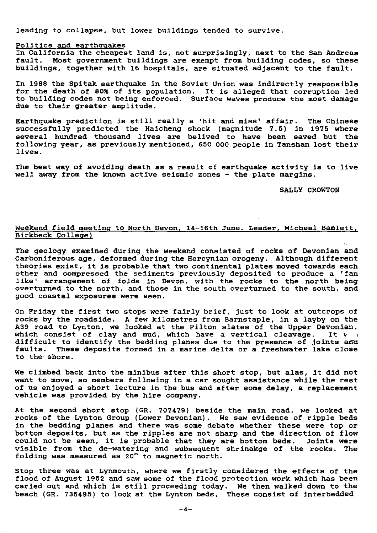leading to collapse, but lower buildings tended to survive.

## Politics and earthquakes

In California the cheapest land is, not surprisingly, next to the San Andreas fault. Most government buildings are exempt from building codes, so these buildings, together with 16 hospitals, are situated adjacent to the fault.

In 1988 the Spitak earthquake in the Soviet Union was indirectly responsible for the death of 80% of its population. It is alleged that corruption led to building codes not being enforced. Surface waves produce the most damage due to their greater amplitude.

Earthquake prediction is still really a 'hit and miss' affair. The Chinese successfully predicted the Haicheng shock (magnitude 7.5) in 1975 where several hundred thousand lives are belived to have been saved but the following year, as previously mentioned, 650 000 people in Tanshan lost their lives.

The best way of avoiding death as a result of earthquake activity is to live well away from the known active seismic zones - the plate margins.

## SALLY CROWTON

## Weekend field meeting to North Devon, 14-16th June. Leader, Micheal Bamlett, Birkbeck College)

The geology examined during the weekend consisted of rocks of Devonian and Carboniferous age, deformed during the Hercynian orogeny. Although different theories **exist, it** is probable that two continental plates moved towards each other and compressed the sediments previously deposited to produce a 'fan like' arrangement of folds in Devon, with the rocks to the north being overturned to the north, and those in the south overturned to the south, and good coastal exposures were seen.

On Friday the first two stops were fairly brief, just to look at outcrops of rocks by the roadside. A few kilometres from Barnstaple, in a layby on the A39 road to Lynton, we looked at the Pilton slates of the Upper Devonian. which consist of clay and mud, which have a vertical cleavage. It w **difficult to identify the bedding planes** due to the presence of joints arra faults. These deposits formed in a marine delta or a freshwater lake close to the-shore.

We climbed back into the minibus after this short stop, but alas, it did not want to move, so members following in a car sought assistance while the rest of us enjoyed a short lecture in the bus and after some delay, a replacement vehicle was provided by the hire company.

At the second short stop (GR. 707479) beside the main road, we looked at rocks of the Lynton Group (Lower Devonian). We saw evidence of ripple beds in the bedding planes and there was some debate whether these were top or bottom deposits, but as the ripples are not sharp and the direction of flow could not be seen, it is probable that they are bottom beds. Joints wer visible from the de-watering and subsequent shrinakge of the rocks. The folding was measured as 20° to magnetic north.

Stop three was at Lynmouth, where we firstly considered the effects of the flood of August 1952 and saw some of *the flood protection work* which has been carted out and which is still proceeding today. We then walked down to the beach (GR. 735495) to look at the Lynton beds. These consist of interbedded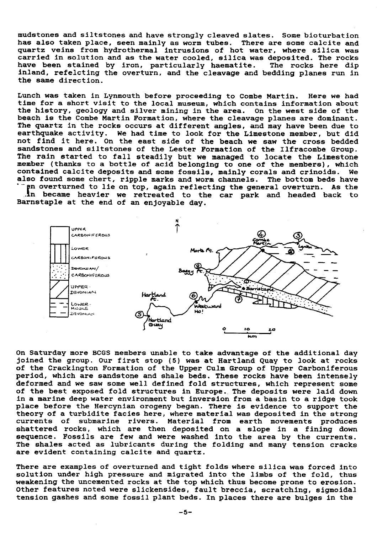mudstones and siltstones and have strongly cleaved slates. Some bioturbation has also taken place, seen mainly as worm tubes. There are some calcite and quartz veins from hydrothermal intrusions of hot water, where silica was carried in solution and as the water cooled, silica was deposited. The rocks have been stained by iron, particularly haematite. The rocks here dip inland, refelcting the overturn, and the cleavage and bedding planes run in the same direction.

Lunch was taken in Lynmouth before proceeding to Combe Martin. Here we had time for a short visit to the local museum, which contains information about the history, geology and silver mining in the area. On the west side of the beach is the Combe Martin Formation, where the cleavage planes are dominant. The quartz in the rocks occurs at different angles, and may have been due to earthquake activity. We had time to look for the Limestone member, but did not find it here. On the east side of the beach we saw the cross bedded sandstones and siltstones of the Lester Formation of the Ilfracombe Group. The rain started to fall steadily but we managed to locate the Limeston member (thanks to a bottle of acid belonging to one of the members), which contained calcite deposits and some fossils, mainly corals and crinoids. We also found some chert, ripple marks and worm channels. The bottom beds have en overturned to lie on top, again reflecting the general overturn. As the

in became heavier we retreated to the car park and headed back to Barnstaple at the end of an enjoyable day.



On Saturday more BCGS members unable to take advantage of the additional day joined the group. Our first stop (5) was at Hartland Quay to look at rocks of the Crackington Formation of the Upper Culm Group of Upper Carboniferous period, which are sandstone and shale beds. These rocks have been intensely deformed and we saw some well defined fold structures, which represent some of the best exposed fold structures in Europe. The deposits were laid down in a marine deep water environment but inversion from a basin to a ridge took place before the Hercynian orogeny began. There is evidence to support the theory of a turbidite facies here, where material was deposited in the strong submarine rivers. Material from earth movements produces shattered rocks, which are then deposited on a slope in a fining down sequence. Fossils are few and were washed into the area by the currents. The shales acted as lubricants during the folding and many tension cracks are evident containing calcite and quartz.

There are examples of overturned and tight folds where silica was forced into solution under high pressure and migrated into the limbs of the fold, thus weakening the uncemented rocks at the top which thus become prone to erosion. Other features noted were slickensides, fault breccia, scratching, sigmoidal tension gashes and some fossil plant beds. In places there are bulges in the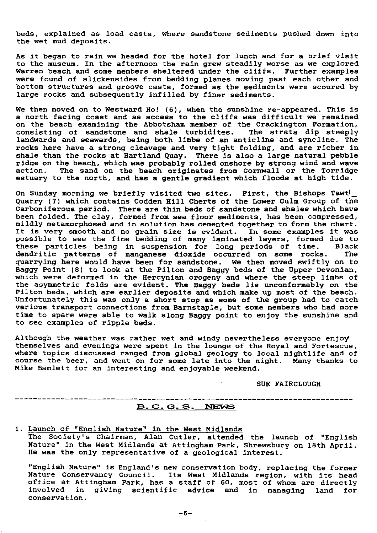beds, explained as load casts, where sandstone sediments pushed down into the wet mud deposits.

As it began to rain we headed for the hotel for lunch and for a brief visit to the museum. In the afternoon the rain grew steadily worse as we explored Warren beach and some members sheltered under the cliffs. Further examples were found of slickensides from bedding planes moving past each other and bottom structures and groove casts, formed as the sediments were scoured by large rocks and subsequently infilled by finer sediments.

We then moved on to Westward Ho! (6), when the sunshine re-appeared. This is a north facing coast and as access to the cliffs was difficult we remained on the beach examining the Abbotsham member of the Crackington Formation, consisting of sandstone and shale turbidites. The strata dip steeply landwards and seawards, being both limbs of an anticline and syncline. The rocks here have a strong cleavage and very tight folding, and are richer in shale than the rocks at Hartland Quay. There is also a large natural pebble ridge on the beach, which was probably rolled onshore by strong wind and wave action. The sand on the beach originates from Cornwall or the Torridge estuary to the north, and has a gentle gradient which floods at high tide.

On Sunday morning we briefly visited two sites. First, the Bishops Tawt Quarry (7) which contains Codden Hill Cherts of the Lower Culm Group of the Carboniferous period. There are thin beds of sandstone and shales which have been folded. The clay, formed from sea floor sediments, has been compressed, mildly metamorphosed and in solution has cemented together to form the chert. It is very smooth and no grain size is evident. In some examples it was possible to see the fine bedding of many laminated layers, formed due to these particles being in suspension for long periods of time. Black dendritic patterns of manganese dioxide occurred on some rocks. The quarrying here would have been for sandstone. We then moved swiftly on to Baggy Point (8) to look at the Pilton and Baggy beds of the Upper Devonian, which were deformed in the Hercynian orogeny and where the steep limbs of the asymmetric folds are evident. The Baggy beds lie unconformably on the Pilton beds, which are earlier deposits and which make up most of the beach. Unfortunately this was only a short stop as some of the group had to catch various transport connections from Barnstaple, but some members who had more time to spare were able to walk along Baggy point to enjoy the sunshine and to see examples of ripple beds.

Although the weather was rather wet and windy nevertheless everyone enjoy themselves and evenings were spent in the lounge of the Royal and Fortescue, where topics discussed ranged from global geology to local nightlife and of course the beer, and went on for some late into the night. Many thanks to Mike Bamlett for an interesting and enjoyable weekend.

SUE FAIRCLOUGH

## **B. C. G. S. NEWS**

1. Launch of "English Nature" in the West Midlands The Society's Chairman, Alan Cutler, attended the launch of "English Nature" in the West Midlands at Attingham Park, Shrewsbury on 18th April. He was the only representative of a geological interest.

"English Nature" is England's new conservation body, replacing the former Nature Conservancy Council. Its West Midlands region, with its head office at Attingham Park, has a staff of 60, most of whom are directly involved in giving scientific advice and in managing land for conservation.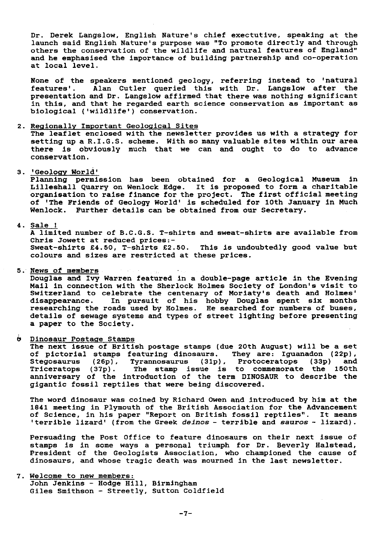Dr. Derek Langslow, English Nature's chief exectutive, speaking at the launch said English Nature's purpose was "To promote directly and through others the conservation of the wildlife and natural features of England" and he emphasised the importance of building partnership and co-operation at local level.

None of the speakers mentioned geology, referring instead to 'natural features'. Alan Cutler queried this with Dr. Langslow after the presentation and Dr. Langslow affirmed that there was nothing significant in this, and that he regarded earth science conservation as important as biological ('wildlife') conservation.

## **2. Regionally** Important Geological Sites

The leaflet enclosed with the newsletter provides us with a strategy for setting up a R.I.G.S. scheme. With so many valuable sites within our area there is obviously much that we can and ought to do to *advance* conservation.

3. 'Geology World'

Planning permission has been obtained for a Geological Museum in Lilleshall Quarry on Wenlock Edge. It is proposed to form a charitable organisation to raise finance for the project. The first official meeting of 'The **Friends** of Geology World' is scheduled for 10th January in Much Wenlock. Further details can be obtained from our Secretary.

## 4. Sale !

A limited number of B.C.G.S. T-shirts and sweat-shirts are available from Chris Jowett at reduced prices:- Sweat-shirts £4.50, T-shirts £2.50. colours and sizes are restricted at these prices. This is undoubtedly good value but

## 5. News of members

Douglas and Ivy Warren featured in a double-page **article in** the Evening Mail in connection with the Sherlock Holmes Society of London's visit to Switzerland to celebrate the centenary of Moriaty's death and Holmes' disappearance. In pursuit of his hobby Douglas spent six months researching the roads used by Holmes. He searched for numbers of buses, details of sewage systems and types of street lighting before presenting a paper to the Society.

 $\ddot{\mathbf{e}}$ Dinosaur Postage Stamps

> The next issue of British postage stamps (due 20th August) will be a set of pictorial stamps featuring dinosaurs. They are: Iguanadon (22p), Stegosaurus (26p), Tyrannosaurus (31p), Protoceratops (33p) and Triceratops (37p). The stamp issue is to commemorate the 150th anniversary of the introduction of the term DINOSAUR to describe the gigantic fossil reptiles that were being discovered.

> The word dinosaur was coined by Richard Owen and introduced by him at the 1841 meeting in Plymouth of the British Association for the Advancement of Science, in his paper "Report on British fossil reptiles". It means 'terrible lizard' (from the Greek deinos - terrible and sauros - lizard).

> Persuading the Post Office to feature dinosaurs on their next issue of stamps is In some ways a personal triumph for Dr. Beverly Halstead, President of the Geologists Association, who championed the cause of dinosaurs, and whose tragic death was mourned in the last newsletter.

7. Welcome to *new* members: John Jenkins - Hodge Hill, Birmingham Giles Smithson - Streetly, Sutton Coldfield